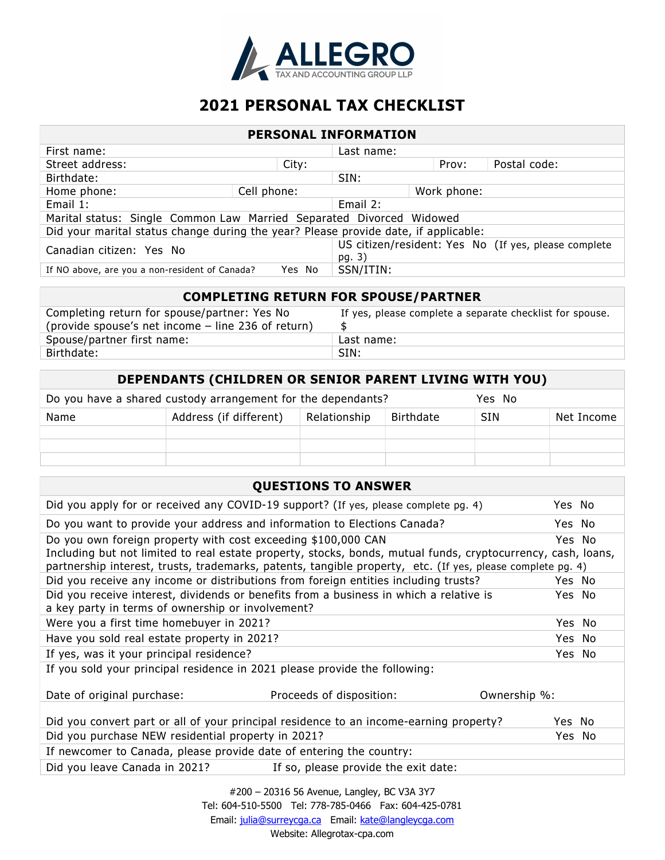

# 2021 PERSONAL TAX CHECKLIST

| <b>PERSONAL INFORMATION</b>                                                         |             |                                                                |              |  |
|-------------------------------------------------------------------------------------|-------------|----------------------------------------------------------------|--------------|--|
| First name:                                                                         |             | Last name:                                                     |              |  |
| Street address:                                                                     | City:       | Prov:                                                          | Postal code: |  |
| SIN:<br>Birthdate:                                                                  |             |                                                                |              |  |
| Home phone:                                                                         | Cell phone: | Work phone:                                                    |              |  |
| Email 1:<br>Email 2:                                                                |             |                                                                |              |  |
| Marital status: Single Common Law Married Separated Divorced Widowed                |             |                                                                |              |  |
| Did your marital status change during the year? Please provide date, if applicable: |             |                                                                |              |  |
| Canadian citizen: Yes No                                                            |             | US citizen/resident: Yes No (If yes, please complete<br>pg. 3) |              |  |
| SSN/ITIN:<br>If NO above, are you a non-resident of Canada?<br>Yes No               |             |                                                                |              |  |

| <b>COMPLETING RETURN FOR SPOUSE/PARTNER</b>                                                        |                                                          |  |  |
|----------------------------------------------------------------------------------------------------|----------------------------------------------------------|--|--|
| Completing return for spouse/partner: Yes No<br>(provide spouse's net income – line 236 of return) | If yes, please complete a separate checklist for spouse. |  |  |
| Spouse/partner first name:                                                                         | Last name:                                               |  |  |
| Birthdate:                                                                                         | SIN:                                                     |  |  |

| <b>DEPENDANTS (CHILDREN OR SENIOR PARENT LIVING WITH YOU)</b>          |                        |              |           |            |            |
|------------------------------------------------------------------------|------------------------|--------------|-----------|------------|------------|
| Do you have a shared custody arrangement for the dependants?<br>Yes No |                        |              |           |            |            |
| Name                                                                   | Address (if different) | Relationship | Birthdate | <b>SIN</b> | Net Income |
|                                                                        |                        |              |           |            |            |
|                                                                        |                        |              |           |            |            |
|                                                                        |                        |              |           |            |            |

#### QUESTIONS TO ANSWER

| Did you apply for or received any COVID-19 support? (If yes, please complete pg. 4)                                                                                                                                                                                                         |                                      |              | Yes No |  |
|---------------------------------------------------------------------------------------------------------------------------------------------------------------------------------------------------------------------------------------------------------------------------------------------|--------------------------------------|--------------|--------|--|
| Do you want to provide your address and information to Elections Canada?                                                                                                                                                                                                                    |                                      |              | Yes No |  |
| Do you own foreign property with cost exceeding \$100,000 CAN<br>Including but not limited to real estate property, stocks, bonds, mutual funds, cryptocurrency, cash, loans,<br>partnership interest, trusts, trademarks, patents, tangible property, etc. (If yes, please complete pg. 4) |                                      |              | Yes No |  |
| Did you receive any income or distributions from foreign entities including trusts?                                                                                                                                                                                                         |                                      |              | Yes No |  |
| Did you receive interest, dividends or benefits from a business in which a relative is<br>a key party in terms of ownership or involvement?                                                                                                                                                 |                                      |              | Yes No |  |
| Were you a first time homebuyer in 2021?                                                                                                                                                                                                                                                    |                                      |              | Yes No |  |
| Have you sold real estate property in 2021?                                                                                                                                                                                                                                                 |                                      |              | Yes No |  |
| If yes, was it your principal residence?                                                                                                                                                                                                                                                    |                                      |              | Yes No |  |
| If you sold your principal residence in 2021 please provide the following:                                                                                                                                                                                                                  |                                      |              |        |  |
| Date of original purchase:                                                                                                                                                                                                                                                                  | Proceeds of disposition:             | Ownership %: |        |  |
| Did you convert part or all of your principal residence to an income-earning property?                                                                                                                                                                                                      |                                      |              | Yes No |  |
| Did you purchase NEW residential property in 2021?                                                                                                                                                                                                                                          |                                      |              | Yes No |  |
| If newcomer to Canada, please provide date of entering the country:                                                                                                                                                                                                                         |                                      |              |        |  |
| Did you leave Canada in 2021?                                                                                                                                                                                                                                                               | If so, please provide the exit date: |              |        |  |
|                                                                                                                                                                                                                                                                                             |                                      |              |        |  |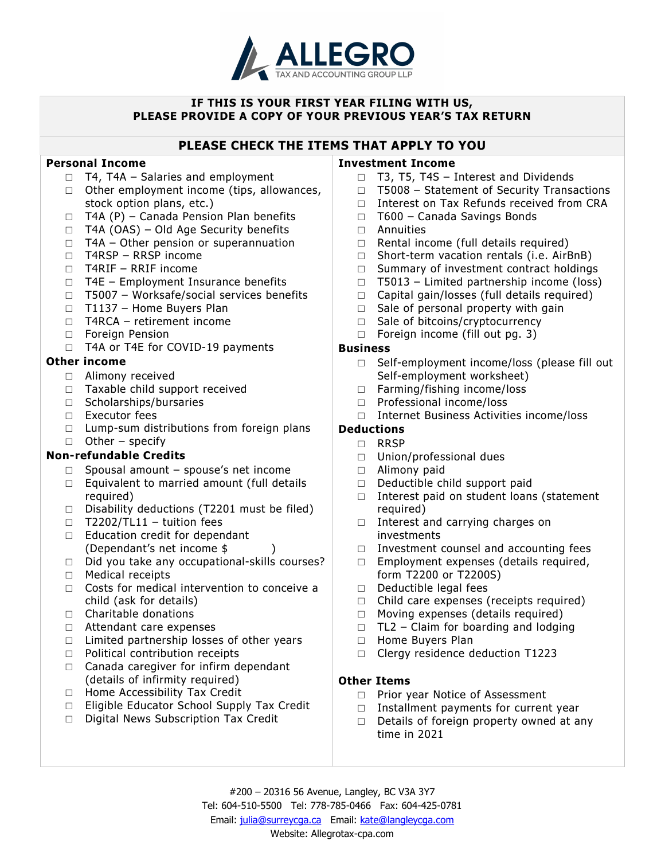

#### IF THIS IS YOUR FIRST YEAR FILING WITH US, PLEASE PROVIDE A COPY OF YOUR PREVIOUS YEAR'S TAX RETURN

# PLEASE CHECK THE ITEMS THAT APPLY TO YOU

#### Personal Income

- $\Box$  T4, T4A Salaries and employment
- □ Other employment income (tips, allowances, stock option plans, etc.)
- $\Box$  T4A (P) Canada Pension Plan benefits
- □ T4A (OAS) Old Age Security benefits
- □ T4A Other pension or superannuation
- □ T4RSP RRSP income
- □ T4RIF RRIF income
- □ T4E Employment Insurance benefits
- □ T5007 Worksafe/social services benefits
- □ T1137 Home Buyers Plan
- $\Box$  T4RCA retirement income
- □ Foreign Pension
- □ T4A or T4E for COVID-19 payments

## Other income

- □ Alimony received
- □ Taxable child support received
- □ Scholarships/bursaries
- □ Executor fees
- $\Box$  Lump-sum distributions from foreign plans
- □ Other specify

## Non-refundable Credits

- □ Spousal amount spouse's net income
- □ Equivalent to married amount (full details required)
- □ Disability deductions (T2201 must be filed)
- $\Box$  T2202/TL11 tuition fees
- □ Education credit for dependant (Dependant's net income \$ )
- □ Did you take any occupational-skills courses?
- □ Medical receipts
- □ Costs for medical intervention to conceive a child (ask for details)
- □ Charitable donations
- □ Attendant care expenses
- $\Box$  Limited partnership losses of other years
- □ Political contribution receipts
- $\Box$  Canada caregiver for infirm dependant (details of infirmity required)
- □ Home Accessibility Tax Credit
- □ Eligible Educator School Supply Tax Credit
- □ Digital News Subscription Tax Credit

#### Investment Income

- □ T3, T5, T4S Interest and Dividends
- □ T5008 Statement of Security Transactions
- □ Interest on Tax Refunds received from CRA
- □ T600 Canada Savings Bonds
- □ Annuities
- □ Rental income (full details required)
- □ Short-term vacation rentals (i.e. AirBnB)
- □ Summary of investment contract holdings
- $\Box$  T5013 Limited partnership income (loss)
- $\Box$  Capital gain/losses (full details required)
- $\Box$  Sale of personal property with gain
- □ Sale of bitcoins/cryptocurrency
- □ Foreign income (fill out pg. 3)

#### Business

- □ Self-employment income/loss (please fill out Self-employment worksheet)
- □ Farming/fishing income/loss
- □ Professional income/loss
- □ Internet Business Activities income/loss

# Deductions

#### □ RRSP

- □ Union/professional dues
- □ Alimony paid
- □ Deductible child support paid
- □ Interest paid on student loans (statement required)
- □ Interest and carrying charges on investments
- □ Investment counsel and accounting fees
- □ Employment expenses (details required, form T2200 or T2200S)
- □ Deductible legal fees
- $\Box$  Child care expenses (receipts required)
- □ Moving expenses (details required)
- $\Box$  TL2 Claim for boarding and lodging
- □ Home Buyers Plan
- □ Clergy residence deduction T1223

## Other Items

- □ Prior year Notice of Assessment
- □ Installment payments for current year
- $\Box$  Details of foreign property owned at any time in 2021

#200 – 20316 56 Avenue, Langley, BC V3A 3Y7 Tel: 604-510-5500 Tel: 778-785-0466 Fax: 604-425-0781 Email: julia@surreycga.ca Email: kate@langleycga.com Website: Allegrotax-cpa.com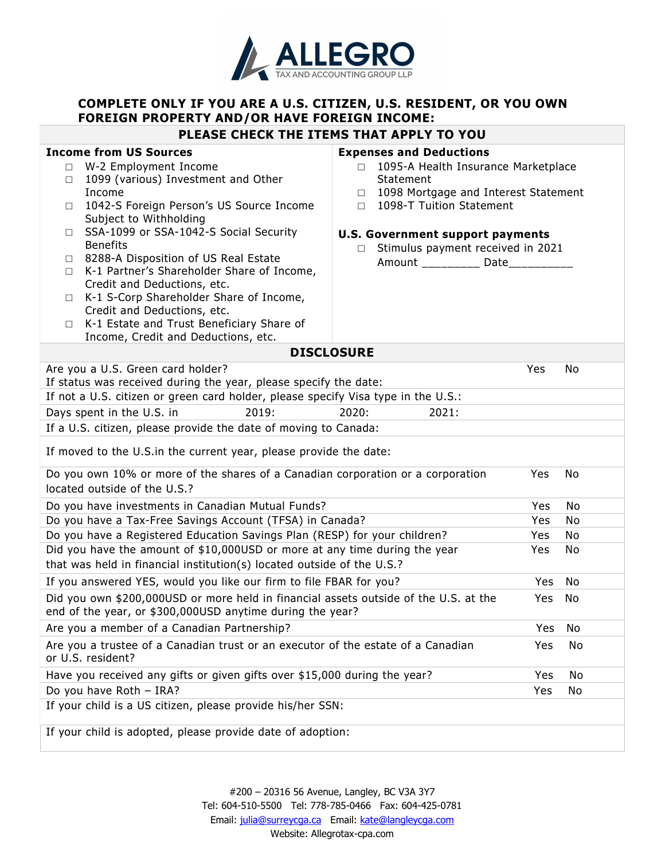

# COMPLETE ONLY IF YOU ARE A U.S. CITIZEN, U.S. RESIDENT, OR YOU OWN FOREIGN PROPERTY AND/OR HAVE FOREIGN INCOME:

#### PLEASE CHECK THE ITEMS THAT APPLY TO YOU

#### Income from US Sources

- □ W-2 Employment Income
- □ 1099 (various) Investment and Other Income
- □ 1042-S Foreign Person's US Source Income Subject to Withholding
- □ SSA-1099 or SSA-1042-S Social Security Benefits
- □ 8288-A Disposition of US Real Estate
- □ K-1 Partner's Shareholder Share of Income, Credit and Deductions, etc.
- □ K-1 S-Corp Shareholder Share of Income, Credit and Deductions, etc.
- □ K-1 Estate and Trust Beneficiary Share of Income, Credit and Deductions, etc.

#### Expenses and Deductions

- □ 1095-A Health Insurance Marketplace Statement
- □ 1098 Mortgage and Interest Statement
- □ 1098-T Tuition Statement

#### U.S. Government support payments

□ Stimulus payment received in 2021 Amount \_\_\_\_\_\_\_\_\_ Date\_\_\_\_\_\_\_\_\_\_

| <b>DISCLOSURE</b>                                                                                                                                    |            |     |
|------------------------------------------------------------------------------------------------------------------------------------------------------|------------|-----|
| Are you a U.S. Green card holder?                                                                                                                    | Yes        | No  |
| If status was received during the year, please specify the date:                                                                                     |            |     |
| If not a U.S. citizen or green card holder, please specify Visa type in the U.S.:                                                                    |            |     |
| Days spent in the U.S. in<br>2019:<br>2020:<br>2021:                                                                                                 |            |     |
| If a U.S. citizen, please provide the date of moving to Canada:                                                                                      |            |     |
| If moved to the U.S. in the current year, please provide the date:                                                                                   |            |     |
| Do you own 10% or more of the shares of a Canadian corporation or a corporation<br>located outside of the U.S.?                                      | Yes        | No  |
| Do you have investments in Canadian Mutual Funds?                                                                                                    | <b>Yes</b> | No  |
| Do you have a Tax-Free Savings Account (TFSA) in Canada?                                                                                             | <b>Yes</b> | No  |
| Do you have a Registered Education Savings Plan (RESP) for your children?                                                                            | <b>Yes</b> | No  |
| Did you have the amount of \$10,000USD or more at any time during the year<br>that was held in financial institution(s) located outside of the U.S.? | <b>Yes</b> | No  |
| If you answered YES, would you like our firm to file FBAR for you?                                                                                   | Yes.       | No  |
| Did you own \$200,000USD or more held in financial assets outside of the U.S. at the<br>end of the year, or \$300,000USD anytime during the year?    | Yes.       | No  |
| Are you a member of a Canadian Partnership?                                                                                                          | <b>Yes</b> | No  |
| Are you a trustee of a Canadian trust or an executor of the estate of a Canadian<br>or U.S. resident?                                                | Yes.       | No. |
| Have you received any gifts or given gifts over \$15,000 during the year?                                                                            | Yes        | No  |
| Do you have Roth - IRA?                                                                                                                              | Yes        | No  |
| If your child is a US citizen, please provide his/her SSN:                                                                                           |            |     |
| If your child is adopted, please provide date of adoption:                                                                                           |            |     |